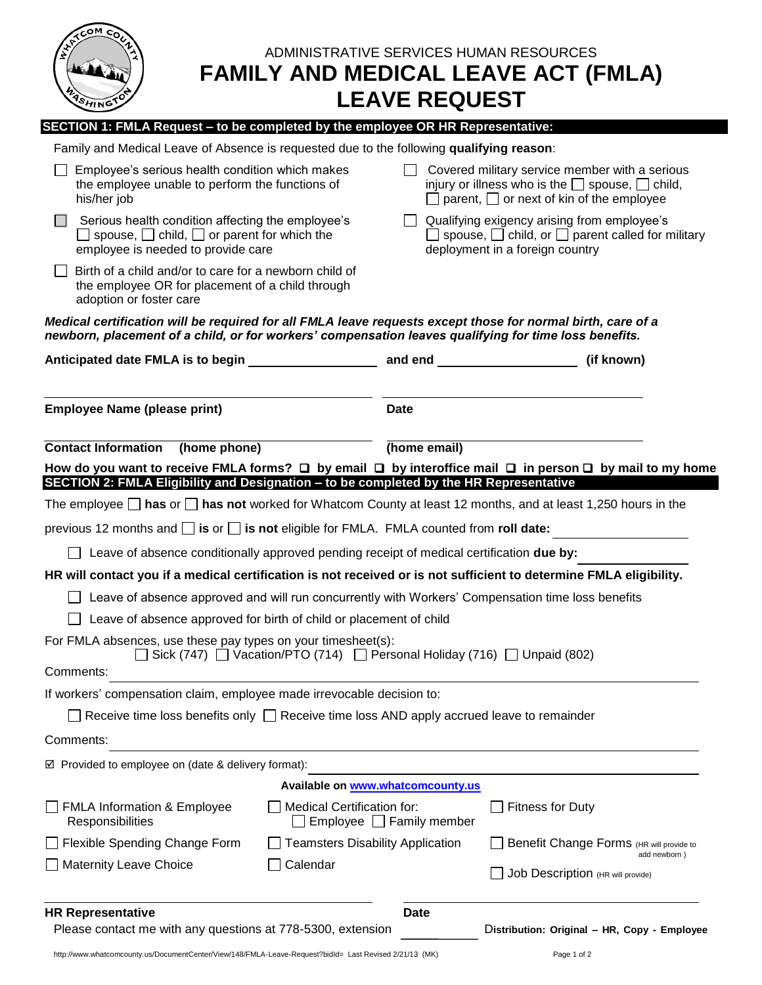| COM<br>ADMINISTRATIVE SERVICES HUMAN RESOURCES<br><b>FAMILY AND MEDICAL LEAVE ACT (FMLA)</b><br><b>LEAVE REQUEST</b><br>SHING                                                                                          |                                                                                                                                                                     |                                                          |
|------------------------------------------------------------------------------------------------------------------------------------------------------------------------------------------------------------------------|---------------------------------------------------------------------------------------------------------------------------------------------------------------------|----------------------------------------------------------|
| SECTION 1: FMLA Request - to be completed by the employee OR HR Representative:                                                                                                                                        |                                                                                                                                                                     |                                                          |
| Family and Medical Leave of Absence is requested due to the following qualifying reason:                                                                                                                               |                                                                                                                                                                     |                                                          |
| Employee's serious health condition which makes<br>the employee unable to perform the functions of<br>his/her job                                                                                                      | Covered military service member with a serious<br>injury or illness who is the $\Box$ spouse, $\Box$ child,<br>$\Box$ parent, $\Box$ or next of kin of the employee |                                                          |
| Serious health condition affecting the employee's<br>$\Box$ spouse, $\Box$ child, $\Box$ or parent for which the<br>employee is needed to provide care                                                                 | $\Box$ Qualifying exigency arising from employee's<br>$\Box$ spouse, $\Box$ child, or $\Box$ parent called for military<br>deployment in a foreign country          |                                                          |
| Birth of a child and/or to care for a newborn child of<br>the employee OR for placement of a child through<br>adoption or foster care                                                                                  |                                                                                                                                                                     |                                                          |
| Medical certification will be required for all FMLA leave requests except those for normal birth, care of a<br>newborn, placement of a child, or for workers' compensation leaves qualifying for time loss benefits.   |                                                                                                                                                                     |                                                          |
| Anticipated date FMLA is to begin and manufactured and end _____________________ (if known)                                                                                                                            |                                                                                                                                                                     |                                                          |
| <b>Employee Name (please print)</b>                                                                                                                                                                                    | <b>Date</b>                                                                                                                                                         |                                                          |
| <b>Contact Information</b><br>(home phone)                                                                                                                                                                             | (home email)                                                                                                                                                        |                                                          |
| How do you want to receive FMLA forms? $\Box$ by email $\Box$ by interoffice mail $\Box$ in person $\Box$ by mail to my home<br>SECTION 2: FMLA Eligibility and Designation - to be completed by the HR Representative |                                                                                                                                                                     |                                                          |
| The employee $\Box$ has or $\Box$ has not worked for Whatcom County at least 12 months, and at least 1,250 hours in the                                                                                                |                                                                                                                                                                     |                                                          |
| previous 12 months and $\square$ is or $\square$ is not eligible for FMLA. FMLA counted from roll date:                                                                                                                |                                                                                                                                                                     |                                                          |
| Leave of absence conditionally approved pending receipt of medical certification due by:                                                                                                                               |                                                                                                                                                                     |                                                          |
| HR will contact you if a medical certification is not received or is not sufficient to determine FMLA eligibility.                                                                                                     |                                                                                                                                                                     |                                                          |
| Leave of absence approved and will run concurrently with Workers' Compensation time loss benefits                                                                                                                      |                                                                                                                                                                     |                                                          |
| Leave of absence approved for birth of child or placement of child                                                                                                                                                     |                                                                                                                                                                     |                                                          |
| For FMLA absences, use these pay types on your timesheet(s):<br>Sick (747) Vacation/PTO (714) Personal Holiday (716) Unpaid (802)                                                                                      |                                                                                                                                                                     |                                                          |
| Comments:                                                                                                                                                                                                              |                                                                                                                                                                     |                                                          |
| If workers' compensation claim, employee made irrevocable decision to:                                                                                                                                                 |                                                                                                                                                                     |                                                          |
| Receive time loss benefits only $\Box$ Receive time loss AND apply accrued leave to remainder                                                                                                                          |                                                                                                                                                                     |                                                          |
| Comments:                                                                                                                                                                                                              |                                                                                                                                                                     |                                                          |
| $\boxtimes$ Provided to employee on (date & delivery format):                                                                                                                                                          |                                                                                                                                                                     |                                                          |
|                                                                                                                                                                                                                        | Available on www.whatcomcounty.us                                                                                                                                   |                                                          |
| <b>FMLA Information &amp; Employee</b><br><b>Medical Certification for:</b><br>Responsibilities                                                                                                                        | $Employee$ $\Box$ Family member                                                                                                                                     | $\Box$ Fitness for Duty                                  |
| Flexible Spending Change Form<br><b>Teamsters Disability Application</b>                                                                                                                                               |                                                                                                                                                                     | Benefit Change Forms (HR will provide to<br>add newborn) |
| Calendar<br><b>Maternity Leave Choice</b>                                                                                                                                                                              |                                                                                                                                                                     | Job Description (HR will provide)                        |
| <b>HR Representative</b><br>Please contact me with any questions at 778-5300, extension                                                                                                                                | <b>Date</b>                                                                                                                                                         | Distribution: Original - HR, Copy - Employee             |

http://www.whatcomcounty.us/DocumentCenter/View/148/FMLA-Leave-Request?bidId= Last Revised 2/21/13 (MK) Page 1 of 2